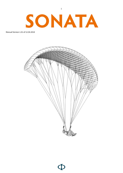

Manual Version 1.01 of 12.04.2018



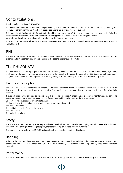# Congratulations!

Thanks you for choosing a PHI SONATA!

You have found in her a reliable friend who gently lifts you into the third dimension. She can not be disturbed by anything and lead you safely through the air. Whether you are a beginner or an old hand, you will love her!

This manual contains important information for handling your paraglider. We therefore recommend that you read the following pages carefully before your first flight. For questions or suggestions, please contact us at info@phi-air.com. More information about this and our other products can be found at phi-air.com.

In order to be able to use all service and warranty services, you must register your paraglider on our homepage under SERVICE / REGISTRATION.

# PHI

The PHI brand stands for experience, competence and passion. The PHI team consists of experts and enthusiasts with a lot of experience. First-class technical professionalism is the base to further push the limits.

# The PHI SONATA

The PHI SONATA is an EN A paraglider with 40 cells and many technical features that make a combination of a very high safety level, good performance, precise handling and a lot of fun possible. By using the very robust 30D Dominico cloth, additional diagonal reinforcements and the special separate finger diagonals outstanding robustness and form stability is achieved.

## Technical description

The SONATA has 40 cells across the entire span, of which five cells each on the Stabilo are designed as closed cells. This build up forms a very form stable and homogeneous wing. The profiles used combine high performance with a very forgiving flight behavior.

4 levels of lines on the sail lead to 4 risers on each side. The outermost A lines hang on a separate riser for easy big ears. The suspension system is extremely reduced, which offers a clear buildup and minimizes the line resistance.

On the front A riser, the speed system is attached.

For better distinction, all A-lines on the maillon rapide are covered and red.

The B-lines are green.

The stabiloleine on the B-riser red (orange).

The C-lines blue.

The brake lines yellow.

## Safety

The SONATA is characterized by extremely long brake travels til stall and a very large damping around all axes. The stability in turbulent air is very high. If the wing collapses, the reaction is typical A-class: with no dynamics.

The maneuver ratings of A in the EN / LTF tests confirm the large safety margin of this glider.

## Handling

Although the maximum braking travel is very long, the control inputs are short and direct, the brake pressure is low with good progression and excellent feedback. The SONATA can be moved very sensitively and with comparatively small control inputs in thermals.

## Performance

The PHI SONATA offers solid performance in all areas: it climbs well, glides well and still has reserves against the wind.

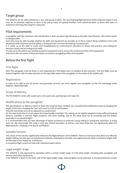## Target group

The SONATA can be safely piloted by a very wide group of pilots. The very forgiving flight behavior of this wing also makes it very easy for an absolute beginner to learn to fly and to enjoy the gained freedom. Even advanced pilots or those with years of experience will enjoy this wing for a long time.

### Pilot requirements

A paraglider with the maximum safe classification A does not place high demands on the pilot. Nevertheless, self-evident action is indispensable.

Each pilot must be able to judge whether his skills and equipment are actually up to the to expect flying conditions! Even with equipment with maximum passive safety, a wrong decision can have devastating consequences!

It is solely up to the pilot to avoid such misjudgments by continuing his education in theory and practice, and making his decisions wisely and according to his skills.

It is also up to the pilot to use suitable protective equipment and to ensure the constant function of his equipment.

Only those who are aware of these principles can practice paragliding safely and enjoyably.

## Before the first flight

### First flight

Each PHI paraglider must be flown in and inspected by a PHI dealer prior to handout to the customer. This first flight must be entered together with the date and pilot on the type table sheet of the paraglider (in the intake of the middle cell).

#### Registration

In order to be able to use all service and guarantee services, you must register your paraglider on the PHI homepage under SERVICE / REGISTRATION.

### Scope of delivery

The PHI SONATA comes with a pack sack, inner pack sack, packing tape and repair kit.

### Modifications to the paraglider

The specifications on delivery match to those the wing has been certified. Any unauthorized modification (such as changing the length of the lines, changing the riser) will result in a loss of certification!

Only the main brake line can be adjusted to a small extent:

On the main brake line is a mark where the brake handle is knotted. This setting can be slightly adapted to have sufficient braking distance available in extreme flight situations and when landing, and on the other hand not to constantly pull the brakes, especially in accelerated flight!

It is recommended that you take advantage of expert assistance to avoid the wrong setting or wrong knot technique. A wrong knot can slip surprisingly (the wing is only very limited steerable), as well as a too short brake line can significantly affect the flight behavior, resulting in the loss of certification.

### Suitable harness

The choice of the harness significantly influences the flight behavior of the SONATA. There are harnesses that allow very effective weight shifting, but also pass on turbulences relatively undamped to the pilot. Less agile harnesses allow no extreme weight shift, but the pilot is less shaken by turbulences.

A competent flight school can help with individual expert advice.

### Legal weight range

The SONATA is only approved for operation within a certain weight range. It is the total weight, including pilot, paraglider and harness (and other equipment).

If the SONATA is flown in the lower half of the legal weight range, reduced agility can be expected. In strong turbulences a lower

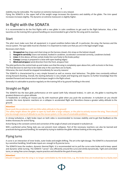4

stability may be noticeable. The reaction on extreme maneuvers is very relaxed.

Flying the SONATA in the upper half of the weight range increases the dynamics and stability of the glider. The trim speed increases increases slightly. The dynamic on extreme maneuvers is slightly higher.

# In flight with the SONATA

It is recommended to do the first flights with a new glider in calm conditions to get used to the flight behavior. Also, a few launches on the training hill or ground handling are recommended to get a feel for the wing and its reactions.

### Start

The pilot must make sure that all equipment is in good condition before take-off. In particular, the wing, the harness and the rescue system. The type table must be checked. It is important to make sure that you are in the legal weight range.

Necessary start check:

- 1. **Strapped on** (leg straps and chest strap on the harness closed, chin strap on the helmet closed)
- 2. **Hanged in correctly** (risers not twisted, hooked in carabiner, accelerator connected correctly, carabiners locked)
- 3. **Lines** (A-line above, all lines sorted, brake line runs freely to the brake pulley)
- 4. **Canopy** (canopy is prepared in a bow with open leading edges)
- 5. **Wind and airspace** (wind direction from the front, airspace free)

The pilot performs the control look up and makes sure that the wing is completely open above him, with no knots in the lines. The final decision to start has to be made only in the case there are no faults.

Otherwise, the start should be stopped immediately for security reasons!

The SONATA is characterized by a very simple forward as well as reverse start behaviour. The glider rises constantly without strong forward shooting. Overall, the starting behavior is very simple and forgiving and requires no further knowledge than the standard forward and reverse launch techniques taught in the flight school.

Generally it is advisable to practice regularly on the training hill or by ground handling in the wind.

## Straight on flight

The SONATA has the best glide performance at trim speed (with fully released brakes). In calm air, the glider is reaching the greatest distance at a given altitude.

In headwinds or sinking air masses you fly with maximum glide when you push the accelerator. In turbulent air you should consider the more dynamic reactions on a collapse in accelerated flight and therefore choose a greater safety altitude to the ground.

#### **Attention!**

Never push the accelerator with too little safety altitude to the ground!

The safety height allows the glider to open by itself after a large collapse, or the pilot to actively recover the wing. There should also be enough reserve of altitude to use the rescue system, in the case of unsolvable problems.

In strong turbulence, a light brake input on both sides is recommended to increase stability and to get that feedback on the brakes necessary for active flying.

Active flying is the constant control and correction of the angle of attack and airspeed in turbulent air.

With a perfected active flying style you can prevent most collapses. Part of the necessary reactions can also be learned and practiced during ground handling, for example by trying to stabilize the glider without looking at the wing above.

### Flying turns

A curve is an interaction of inner brake, outer brake and weight shifting. The art is the right dosage. The SONATA is characterized by a sensitive handling. Small brake inputs are enough to fly precise turns.

The SONATA loves the modern, dynamic thermal flight. It is recommended not to pull the curve outer brake and to keep speed and dynamic while turning. The SONATA "carves" very efficiently around the curve and climbs dynamically. Tight and controlled turns, or swing-free curve changes, require practice and should be the goal of every pilot.

#### **Attention!**

Should it happen that the wing is no longer controllable by the brake lines, e.g. the brake lines are involved due to a faulty start

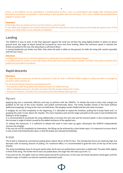check, so the SONATA can be controlled to a limited extent via the C-risers. In combinations with weight shift, relatively good directional corrections are possible. A safe landing is also possible with this technique. The C-risers should only be pulled down slightly to avoid a stall.

#### **Attention!**

If the brake lines are pulled too far or too fast, there is a risk of a stall!

A one-sided stall (negative turn) clearly announces itself: the wing starts to lose inner pressure and shape during the curve. In this phase, the inside brake is to be released immediately!

### Landing

The SONATA is easy to land. In the final approach against the wind you let flare the wing slightly braked. In about 1m above ground level, the angle of attack should be increased by more and more braking. When the minimum speed is reached, the brakes are pulled to the max, the wing shows a soft touch down.

In strong headwinds you brake very little. Only when the pilot is safely on the ground, he stalls the wing with caution (possibly with the rear risers).

#### **Attention!**

Landings with steep turns in the final approach are absolutely to be avoided (pendulum danger)! A complete stall can result in a very rude impact of the pilot even at just two meters altitude. Therefore, the brakes should be fully pulled only just before touchdown.

### Rapid descents

#### **Attention!**

All rapid descent maneuvers should be practiced in calm air and in sufficient safety heights to safely use them in emergency situations with turbulent air.

For all extreme flying maneuvers and rapid descents:

- first practice under the guidance of a teacher as part of a safety training.

- before initiating maneuvers, the pilot ascertains that the airspace below him is clear.

- during the maneuver, the pilot must constantly control the altitude above ground.

#### Big ears

Applying big ears is extremely effective and easy to perform with the SONATA. To initiate the outer A-risers (red, orange) are grabbed at the top of the screw shackle, and pulled symmetrically down. The brake handles remain in the hand (without additional wrapping). As long as the risers are held down, the wingtips remain folded and the sink value increases.

If wingtips do not fold completely at the beginning, it is advisable to repeat the initiation, pulling the A-straps faster and / or grasping the outer A-riser above the shackle. The more impulsive pull and the larger pull path on the outer A-riser facilitates the folding in of the wingtips.

It is recommended to accelerate the wing additionally to increase the sink rate and the forward speed. It also compensates for the increase in angle of attack caused by the added resistance of the applied ears.

To release the maneuver, it is sufficient to release the outer A risers back up again, whereupon the SONATA independently recovers the wingtips

If the ears do not fill completely by themselves, the filling can be achieved by a short brake input. It is important to ensure that it is only a short and limited brake input, or that the brakes are released immediately.

#### B-Stall

The B-stall is initiated by symmetrical pulling down (about 20cm) of the B-risers. The introduction forces are relatively high, but decrease with increasing amount of pulling. For maximum effect, it is recommended to grab the risers at the top of the screw shackle.

The wing immediately loses its forward speed when the B risers are pulled down and enters a stable stall. The pilot shifts slightly in front of the wing. The further the B-risers are pulled down, the larger the sink rates (up to 9m / s).

If you pull too far, the glider starts to rotate slowly around its vertical axis. In this case, the hands should be raised again until the rotation stops. (A rotation can also be caused by asymmetric pull).

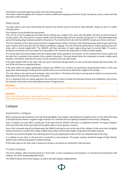The B-stall is recovered again by quickly move the hands upwards.

The brake is held throughout the maneuver (without additional wrapping around the hand). During the rcovery, make sure that the brake is fully released.

### Deep spiral

The deep spiral is the most demanding fast descent and should only be learned at high altitudes, ideally as part of a safety training course.

The initiation can be divided into two phases:

First, you fly a turn by applying one brake and by shifting your weight to the same side, the glider will bank up and increase its turning speed. Then the g-forces increase rapidly and the leading edge will lean towards the ground. In a fully developed deep spiral, the leading edge is almost parallel to the ground. The maximum sink rate with the SONATA can get up to 25m/s and more.

The first attempts to fly a deep spiral should be stopped clearly before reaching a fully developed deep spiral to get used to the quick rotation and to practice the exit without pendulum swinging. The exit should be performed by simply releasing the inner brake with a neutral weight-shift. The SONATA will then decrease its bank angle and go back to normal flight. To avoid a pendulum movement, the inner brake has to be pulled in the moment the wing wants to reduce its bank rapidly.

The actual spiral movement begins with the leading edge nearly parallel to the horizon. At this moment the harness banks and the pilot the is pushed to the outside of the rotation movement. The pilot should allow this movement to avoid a stable spiral situation. (see below). Now the sink values can be varied by inner and outer brake.

If the pilot weight shifts to the outer side, the spiral movement will get slower as soon as the pilot releases the inner brake. The rest of the exit works as explained above.

If the pilot shifts his weight significantly inwards, the SONATA can continue to spiral when releasing both brakes. In this case apply both sides braking or braking of the outside of the curve and of course shift of the weight to the outside.

The sink values in the spiral can be between 10m/s and 20m/s. The load on the body is over 4g and can lead to unconsciousness depending on the physical constitution of the pilot.

So it is important that you slowly approach this maneuver in order to master the diversion actively and confidently, and to know the reaction of the body in this demanding situation of high g-forces.

#### **Attention!**

Active exiting a stable deep spiral requires an unusually large amount of body force due to the high g-load!

#### **Attention!**

Due to the high performance and dynamics of the wing you have to expect that the glider rises up some altitude after the release of the deep spiral and hits his own vortex turbulence!

## Collapse

#### Asymmetric collapse

When entering strong turbulence, one side of the paraglider may collapse. Specifically, this happens when on this side of the wing is losing lift by decreased or negative angle of attack. As a result the lines are getting unloaded and the wing is collapsing.

Such a collapse can only affect a small part of the span and the SONATA will show no significant reaction. For larger collapses with more than 50% of the span affected, the glider shows a more dynamic reaction:

Due to the increased drag of the folded wing, the SONATA will start to turn to the side of the collapse. At the same time, the glider pitches forward as a result of the smaller loaded wing surface and therefore higher wing load and needed airspeed.

The pilot can prevent the glider from pitching and turning, by applying the brake on the non collapsed side of the wing.

If a collapse occurs close to the ground it is essential to react properly. The proper reaction should be taught at high altitude, ideally under professional guidance (safety training).

If the brake input on the open side is clearly too strong, it can lead to an asymmetric stall (see spin).

### Frontal collapse

The front collapse, often misunderstood as a "front stall", is also a consequence of turbulence. In contrast to the asymmetric side collapse, the entire leading edge folds down.

The SONATA opens the frontal collapse, as well as the side collapse independently.

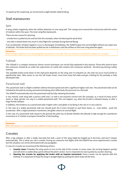To speed up the reopening, we recommend a slight double-sided braking.

### Stall manoeuvres

#### Spin

A wing rotates negatively when the airflow detaches on one wing half. The canopy turns around the vertical axis with the center of rotation within the span. The inner wing flies backwards.

There are two causes for spinning:

- a brake line is pulled too far and too fast (for example, when introducing the spiral dive)

- one side is slowed down too much in slow flight (for example during thermal flying)

If an accidentally initiated negative curve is discharged immediately, the SONATA goes into normal flight without any major loss of altitude. The brake that has been pulled too far is withdrawn until the airflow on the inner wing attaches again.

#### **Attention!**

After a longer negative curve, the paraglider may shoot on one side. This can result in an impulsive collapse or a cravate.

### Fullstall

The Fullstall is a complex maneuver whose correct technique can not be fully explained in this manual. Those who want to learn this maneuver should do so under the supervision of a pilot who masters this maneuver perfectly - the best way during a safety training.

The available brake travel down to the stall point depends on the wing size! In turbulent air, the stall can occur much earlier or significantly later. Who wants to use the full brake travel, must train many full stalls and get a feeling for the partially or fully developed stall.

#### Parachutal stall

The parachutal stall is a flight condition without forward speed and with a significant higher sink rate. The parachutal stall can be initiated by the pilot by strong symmetrical braking and is effectively the precursor to a full stall.

The SONATA automatically exits the parachutal stall by fully releasing the brakes.

A very heavily used wing with a porous cloth and / or with a not anymore correct trim (for example, as a result of many winch starts or deep spirals) can stay in a stable parachutal stall. This can happen, e.g. when the B-stall is released slowly, or after a large frontal collapse.

In addition, the tendency to a parachutal stall is higher with a wet glider or by flying in the rain or in very cold air.

In the case of a stable parachutal stall you should push the A-risers forward or pull them down, or - even better - push the accelerator. After a slight pendulum movement, the glider returns to normal flight.

In the case of a parachutal stall closed to the ground the pilot has to decide whether the altitude is high enough for a pendulum movement or it is better to prepare himself for a hard landing.

#### **Attention!**

When the wing is in a parachutal stall, additional brake input may result in a fullstall!

### Cravates

After a big collapse or after a badly executed full stall, a part of the wing might be tangled up in the lines, and won't reopen automatically. This is what you call a cravate. During our extensive test flights with the SONATA we never experienced a cravate but this situation can not be eliminated with any paraglider.

In case of a cravate we recommend the following actions:

- 1. **Counter steer:** Probably the wing wants to turn to the side of the cravate. In some cases, the turning happens quickly and will end in a stable deep spiral without the pilot's action. So it is important to react quickly by counter steering.
- 2. **Opening the cravate by applying the brake with an impulse movement:** Some cravats can be opened with this method. It is important to keep the wing in straight flight by pulling the other brake all the time.

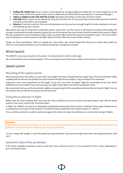- 3. **Pulling the stabilo line:** Some cravats can be opened by strongly pulling the stabilo line. (It is the orange line on the B-riser. Have a look at it or grab it every once in a while and you will be able to react quicker in a moment of danger.)
- 4. **Induce a collapse on the side with the cravate.** Sometimes this helps as well to get rid of the cravate.
- 5. **Full stall:** Many cravats can be opened by using the Full Stall. But of course you have to have solid experience with this manoeuvre to be able to use it properly.
- 6. **Reserve:** If you lose control or if you are not absolutely sure that you have enough height for further attempts to recover, immediately use your reserve!

Many pilots wait way too long before using their reserve. Some don't use the reserve at all if they lose control of their glider. We strongly recommend to at least mentally practice the use of the reserve from time to time: Grab the handle of the reserve in flight, like you would do it in case of emergency. Many clubs or schools offer to throw the rescue for example in a gym. The most realistic way of training is to use the reserve in real flight. Many SIV Clinics offer that as part of their training.

Please use these possibilities: There are already too many pilots, who almost forgot that they have a reserve they could use, which is a very bad precondition to use it without hesitating in a dangerous moment.

## Winch launch

The SONATA is very easy to launch on the winch. You should start to climb at a flat angle.

We recommend the use of a towing adapter. This is connected on top of the main carabiner and connects it with the tow release.

### Speed system

#### Mounting of the speed system

Most harnesses have two pulleys on each side, some (light) harnesses instead have two simple rings. The two accelerator cables supplied with the harness are guided from top to bottom through the two pulleys / rings and fixed on the speed bar.

Important is the correct adjustment of the length. If you set it too short, the glider might fly accelerated all the time, which definitely has to be avoided. If you set it too long, you might not be able to use the full accelerator travel.

We recommend that you set the accelerator slightly too long during the first assembly to estimate the free travel in flight. You can then shorten the accelerator if necessary by this free travel.

#### Using the accelerator in flight

Before take off, when hooking thee risers into the main carabiners, be sure to connect the speed system rope with the speed system on the risers: connect the "brummel hooks".

In flight, the SONATA can now be accelerated by pushing the speed pedal, which results in reduction of the angle of attack and as a consequence an increase of the airspeed. The speed increase compared to trim speed is about 10 - 12km/h.

The use of the accelerator is useful to penetrate against the wind or to make more distance in a certain time during XC flights.

#### **Attention:**

Braking during the accelerated flight not only costs a lot of gliding performance, but as well increases instability and may lead to collapses! Always step from the speed bar first, then pull the brakes!

To turn, simply shift weight, or push the speed bar asymmetrically. (If you push the right side further, the wing will perform a left turn.)

### Geometric data of the accelerator

If the entire available accelerator travel is used, the A-risers shorten by 15cm or 17cm compared to the C-risers, depending on size: see technical data.

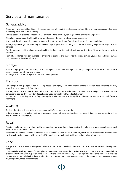# Service and maintenance

## General advice

With proper and careful handling of the paraglider, this will remain in perfect technical condition for many years even when used intensively. Please note the following:

Don't expose your glider to unnecessary UV radiation – for example by leaving it on the landing site unpacked.

When folding, you should not bend the polyamide rods at the leading edge more as necessary.

If you pack the glider when it is wet or just damp, it has to be dried later. Don't leave it packed in a wet condition!

When you practice ground handling, avoid crashing the glider hard on the ground with the leading edge, as this might lead to damage.

Avoid unnecessary dirt or sharp stones touching the lines and the cloth. Don't step on the lines if they are laying on a stony surface!

Humidity combined with dirt can lead to shrinking of the lines and thereby to the wrong trim on your glider. Salt water (sweat) may damage the lines in the long run.

### **Storage**

Ideal is a light-protected, dry storage of the paraglider. Permanent storage at very high temperature (for example in the car during midsummer) should be avoided.

For longer storage, the paraglider should not be compressed.

### **Transport**

For transport, the paraglider can be compressed very tightly. The nylon monofilaments used for nose stiffening are very insensitive to permanent deformation.

If a very small pack volume is required, a compression bag can also be used. To minimize the weight, make sure that the paraglider is packed dry. The nylon cloth absorbs water at high humidity and gets heavier. If vibrations occur during transport (eg: motorcycle), make sure that the fittings (line locks) do not touch the sail cloth (use the riser bags).

## Cleaning

To clean the wing, only use water and a cleaning cloth. Never use any solvents!

If there is sand, dirt or small stones inside the canopy, you should remove them because they will damage the coating of the cloth and the seams in the long run.

### Repair

Repairs should only be carried out by the manufacturer or by authorized companies. If you have any questions, please contact PHI directly: (info@phi-air.com)

Exceptions are the replacement of lines as well as the repair of small cracks (up to 5 cm, which do not affect seams) or holes in the cloth, which can be repaired with the original PHI repair set. A small set of sticking cloth is supplied with the wing.

## **Check**

The general check interval is two years, unless the checker sets the check interval to a shorter time because of a heavily used wing.

Commercially used equipment (school gliders, tandems) must always be checked every year. This is also recommended for gliders under heavy load, e.g. with more than 150 flight hours in two years, or with regularly flown acro maneuvers. We also recommend an annual check if there is a lot of flying in terrain that puts a plenty of strain on the material: in rocky areas, in salty air, or especially in salt water contact.

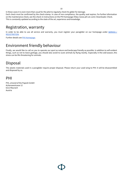In these cases it is even more than usual for the pilot to regularly check his glider for damage. Each check must be confirmed by the check-stamp. In case of non-compliance, the quality seal expires. For further information on the maintenance check, see the check-in instructions on the PHI homepage (http://www.phi-air.com): Downloads: Check. This is constantly updated according to the state of the art, experience and knowledge.

# Registration, warranty

In order to be able to use all service and warranty, you must register your paraglider on our homepage under [SERVICE](http://www.phi-air.com/service/registration/)  $/$ [REGISTRATION](http://www.phi-air.com/service/registration/).

Further details see PHI [Homepage](https://phi-air.com/service/warranty/).

# Environment friendly behaviour

Finally, we would like to call on you to operate our sport as nature and landscape friendly as possible. In addition to self-evident things, such as not to leave garbage, you should also avoid to scare animals by flying nearby. Especially in the cold season, this stress can be life-threatening for animals.

# Disposal

The plastic materials used in a paraglider require proper disposal. Please return your used wing to PHI: it will be disassembled and disposed by us.

# PHI

PHI, a brand of the Papesh GmbH Achenseestrasse 12 6212 Maurach Austria



10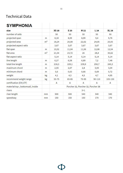# **Technical Data**

| <b>SYMPHONIA</b>                  |                |                                    |                 |       |                 |              |
|-----------------------------------|----------------|------------------------------------|-----------------|-------|-----------------|--------------|
| size                              |                | <b>XS18</b>                        | S <sub>20</sub> | M 22  | L <sub>24</sub> | <b>XL 26</b> |
| number of cells                   |                | 50                                 | 50              | 50    | 50              | 50           |
| projected span                    | m              | 8,18                               | 8,59            | 8,99  | 9,4             | 9,76         |
| projected area                    | m <sup>2</sup> | 18,24                              | 20,08           | 22,02 | 24,05           | 25,93        |
| projected aspect ratio            |                | 3,67                               | 3,67            | 3,67  | 3,67            | 3,67         |
| flat span                         | m              | 10,52                              | 11,04           | 11,56 | 12,08           | 12,54        |
| flat area                         | m <sup>2</sup> | 21,54                              | 23,72           | 26    | 28,4            | 30,62        |
| flat aspect ratio                 |                | 5,14                               | 5,14            | 5,14  | 5,14            | 5,14         |
| line length                       | m              | 6,27                               | 6,58            | 6,89  | 7,2             | 7,48         |
| total line length                 | m              | 218,3                              | 229,1           | 239,9 | 250,7           | 260,3        |
| maximum chord                     | m              | 2,55                               | 2,67            | 2,8   | 3,93            | 3,04         |
| minimum chord                     | m              | 0,6                                | 0,63            | 0,66  | 0,69            | 0,72         |
| weight                            | kg             | 4,1                                | 4,3             | 4,5   | 4,7             | 4,95         |
| recommend weight range            | kg             | $55 - 75$                          | $65 - 85$       | 75-95 | $90 - 110$      | 105-130      |
| certification (EN/LTF)            |                | A                                  | $\mathsf{A}$    | A     | A               | A            |
| material top-, bottomsail, inside |                | Porcher 32, Porcher 32, Porcher 38 |                 |       |                 |              |
| risers                            |                | $3 + 1$                            |                 |       |                 |              |
| riser length                      | mm             | 500                                | 500             | 540   | 540             | 540          |
| speedway                          | mm             | 150                                | 150             | 150   | 170             | 170          |

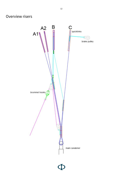

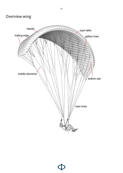